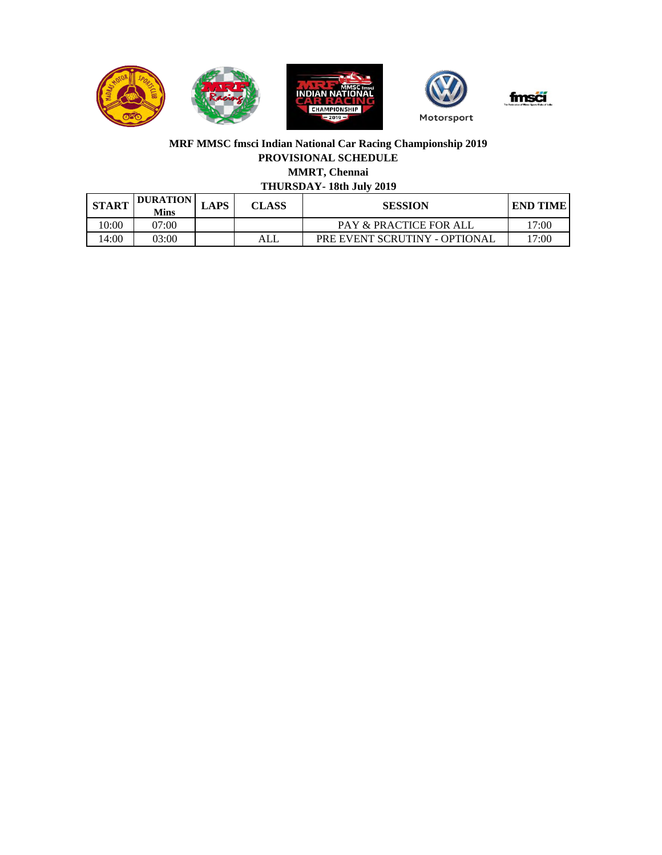

## **MRF MMSC fmsci Indian National Car Racing Championship 2019 PROVISIONAL SCHEDULE MMRT, Chennai**

# **THURSDAY- 18th July 2019**

| <b>START</b> | <b>DURATION</b><br>Mins | ∟APS | <b>CLASS</b> | <b>SESSION</b>                | <b>END TIME</b> |
|--------------|-------------------------|------|--------------|-------------------------------|-----------------|
| 0:00         | )7:00                   |      |              | PAY & PRACTICE FOR ALL        | l7:00           |
| .4:00        | 03:00                   |      | ALL          | PRE EVENT SCRUTINY - OPTIONAL | l7:00           |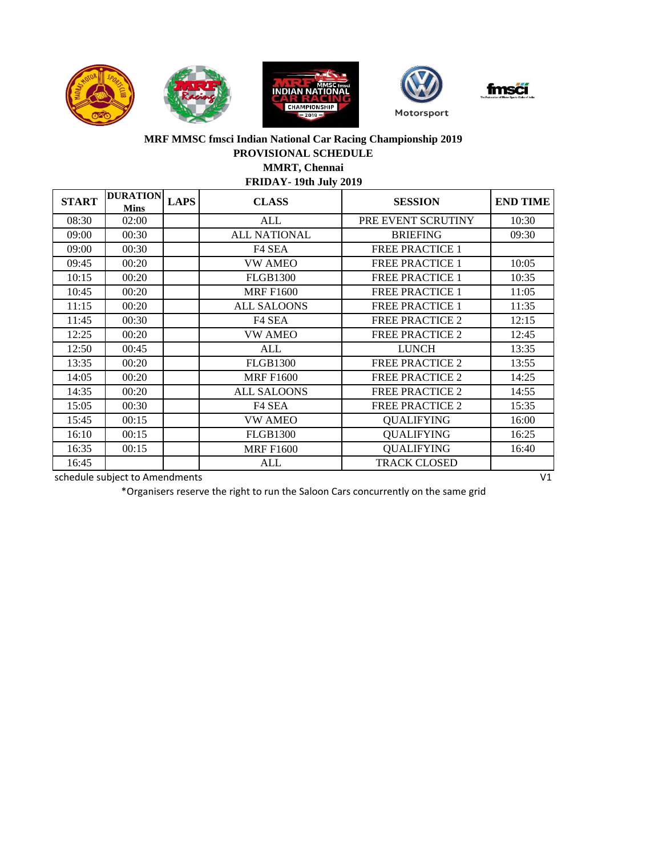





## **FRIDAY- 19th July 2019 MRF MMSC fmsci Indian National Car Racing Championship 2019 PROVISIONAL SCHEDULE MMRT, Chennai**

| <b>START</b> | <b>DURATION</b><br><b>Mins</b> | <b>LAPS</b> | <b>CLASS</b>        | <b>SESSION</b>         | <b>END TIME</b> |
|--------------|--------------------------------|-------------|---------------------|------------------------|-----------------|
| 08:30        | 02:00                          |             | ALL                 | PRE EVENT SCRUTINY     | 10:30           |
| 09:00        | 00:30                          |             | <b>ALL NATIONAL</b> | <b>BRIEFING</b>        | 09:30           |
| 09:00        | 00:30                          |             | F <sub>4</sub> SEA  | <b>FREE PRACTICE 1</b> |                 |
| 09:45        | 00:20                          |             | <b>VW AMEO</b>      | <b>FREE PRACTICE 1</b> | 10:05           |
| 10:15        | 00:20                          |             | <b>FLGB1300</b>     | <b>FREE PRACTICE 1</b> | 10:35           |
| 10:45        | 00:20                          |             | <b>MRF F1600</b>    | <b>FREE PRACTICE 1</b> | 11:05           |
| 11:15        | 00:20                          |             | <b>ALL SALOONS</b>  | <b>FREE PRACTICE 1</b> | 11:35           |
| 11:45        | 00:30                          |             | F <sub>4</sub> SEA  | <b>FREE PRACTICE 2</b> | 12:15           |
| 12:25        | 00:20                          |             | <b>VW AMEO</b>      | <b>FREE PRACTICE 2</b> | 12:45           |
| 12:50        | 00:45                          |             | ALL                 | <b>LUNCH</b>           | 13:35           |
| 13:35        | 00:20                          |             | <b>FLGB1300</b>     | <b>FREE PRACTICE 2</b> | 13:55           |
| 14:05        | 00:20                          |             | <b>MRF F1600</b>    | <b>FREE PRACTICE 2</b> | 14:25           |
| 14:35        | 00:20                          |             | <b>ALL SALOONS</b>  | <b>FREE PRACTICE 2</b> | 14:55           |
| 15:05        | 00:30                          |             | F <sub>4</sub> SEA  | <b>FREE PRACTICE 2</b> | 15:35           |
| 15:45        | 00:15                          |             | <b>VW AMEO</b>      | <b>QUALIFYING</b>      | 16:00           |
| 16:10        | 00:15                          |             | <b>FLGB1300</b>     | <b>QUALIFYING</b>      | 16:25           |
| 16:35        | 00:15                          |             | <b>MRF F1600</b>    | <b>QUALIFYING</b>      | 16:40           |
| 16:45        |                                |             | ALL                 | <b>TRACK CLOSED</b>    |                 |
|              | schedule subject to Amendments |             |                     |                        | V <sub>1</sub>  |

\*Organisers reserve the right to run the Saloon Cars concurrently on the same grid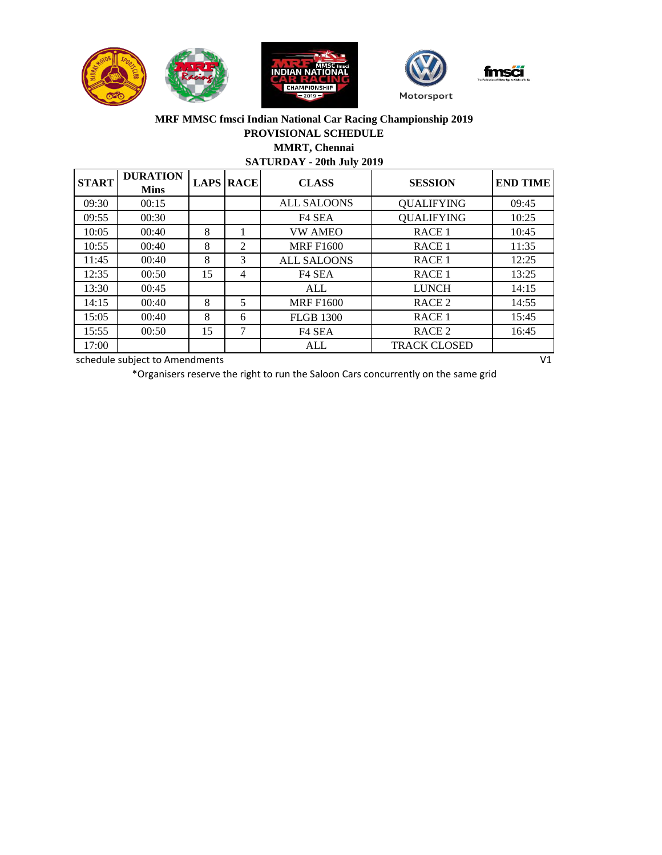



#### **MRF MMSC fmsci Indian National Car Racing Championship 2019 PROVISIONAL SCHEDULE MMRT, Chennai**

**SATURDAY - 20th July 2019**

| <b>START</b> | <b>DURATION</b><br><b>Mins</b> |    | <b>LAPS RACE</b> | <b>CLASS</b>       | <b>SESSION</b>      | <b>END TIME</b> |
|--------------|--------------------------------|----|------------------|--------------------|---------------------|-----------------|
| 09:30        | 00:15                          |    |                  | <b>ALL SALOONS</b> | <b>QUALIFYING</b>   | 09:45           |
| 09:55        | 00:30                          |    |                  | F <sub>4</sub> SEA | <b>QUALIFYING</b>   | 10:25           |
| 10:05        | 00:40                          | 8  |                  | <b>VW AMEO</b>     | RACE <sub>1</sub>   | 10:45           |
| 10:55        | 00:40                          | 8  | $\mathfrak{D}$   | <b>MRF F1600</b>   | RACE <sub>1</sub>   | 11:35           |
| 11:45        | 00:40                          | 8  | 3                | <b>ALL SALOONS</b> | RACE <sub>1</sub>   | 12:25           |
| 12:35        | 00:50                          | 15 | $\overline{4}$   | F <sub>4</sub> SEA | RACE <sub>1</sub>   | 13:25           |
| 13:30        | 00:45                          |    |                  | ALL                | <b>LUNCH</b>        | 14:15           |
| 14:15        | 00:40                          | 8  | 5                | <b>MRF F1600</b>   | RACE <sub>2</sub>   | 14:55           |
| 15:05        | 00:40                          | 8  | 6                | <b>FLGB 1300</b>   | RACE <sub>1</sub>   | 15:45           |
| 15:55        | 00:50                          | 15 | 7                | F <sub>4</sub> SEA | RACE <sub>2</sub>   | 16:45           |
| 17:00        |                                |    |                  | ALL                | <b>TRACK CLOSED</b> |                 |
|              | schedule subject to Amendments |    |                  |                    |                     | V <sub>1</sub>  |

\*Organisers reserve the right to run the Saloon Cars concurrently on the same grid